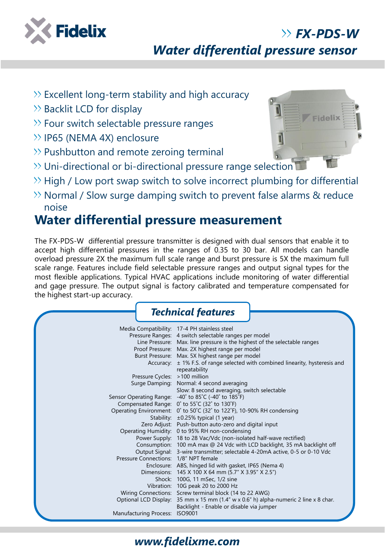

# *Water differential pressure sensor*

- $\gg$  Excellent long-term stability and high accuracy
- $\gg$  Backlit LCD for display
- $\gg$  Four switch selectable pressure ranges
- >> IP65 (NEMA 4X) enclosure
- $\gg$  Pushbutton and remote zeroing terminal
- $\gg$  Uni-directional or bi-directional pressure range selection
- $\rightarrow$  High / Low port swap switch to solve incorrect plumbing for differential
- $\gg$  Normal / Slow surge damping switch to prevent false alarms & reduce noise

## **Water differential pressure measurement**

The FX-PDS-W differential pressure transmitter is designed with dual sensors that enable it to accept high differential pressures in the ranges of 0.35 to 30 bar. All models can handle overload pressure 2X the maximum full scale range and burst pressure is 5X the maximum full scale range. Features include field selectable pressure ranges and output signal types for the most flexible applications. Typical HVAC applications include monitoring of water differential and gage pressure. The output signal is factory calibrated and temperature compensated for the highest start-up accuracy.

|                                       | <b>Technical features</b>                                                                                                      |  |
|---------------------------------------|--------------------------------------------------------------------------------------------------------------------------------|--|
|                                       | Media Compatibility: 17-4 PH stainless steel                                                                                   |  |
|                                       | Pressure Ranges: 4 switch selectable ranges per model                                                                          |  |
|                                       | Line Pressure: Max. line pressure is the highest of the selectable ranges                                                      |  |
|                                       | Proof Pressure: Max. 2X highest range per model                                                                                |  |
|                                       | Burst Pressure: Max. 5X highest range per model                                                                                |  |
|                                       | Accuracy: $\pm$ 1% F.S. of range selected with combined linearity, hysteresis and                                              |  |
|                                       | repeatability                                                                                                                  |  |
| Pressure Cycles: >100 million         |                                                                                                                                |  |
|                                       | Surge Damping: Normal: 4 second averaging                                                                                      |  |
|                                       | Slow: 8 second averaging, switch selectable                                                                                    |  |
|                                       | Sensor Operating Range: - 40° to 85°C (-40° to 185°F)                                                                          |  |
|                                       | Compensated Range: 0° to 55°C (32° to 130°F)                                                                                   |  |
|                                       | Operating Environment: 0° to 50°C (32° to 122°F), 10-90% RH condensing                                                         |  |
|                                       | Stability: $\pm 0.25\%$ typical (1 year)                                                                                       |  |
|                                       | Zero Adjust: Push-button auto-zero and digital input                                                                           |  |
|                                       | Operating Humidity: 0 to 95% RH non-condensing                                                                                 |  |
|                                       | Power Supply: 18 to 28 Vac/Vdc (non-isolated half-wave rectified)                                                              |  |
|                                       | Consumption: 100 mA max @ 24 Vdc with LCD backlight, 35 mA backlight off                                                       |  |
|                                       | Output Signal: 3-wire transmitter; selectable 4-20mA active, 0-5 or 0-10 Vdc                                                   |  |
| Pressure Connections: 1/8" NPT female |                                                                                                                                |  |
|                                       | Enclosure: ABS, hinged lid with gasket, IP65 (Nema 4)                                                                          |  |
|                                       | Dimensions: 145 X 100 X 64 mm (5.7" X 3.95" X 2.5")                                                                            |  |
|                                       | Shock: 100G, 11 mSec, 1/2 sine                                                                                                 |  |
|                                       | Vibration: 10G peak 20 to 2000 Hz                                                                                              |  |
|                                       | Wiring Connections: Screw terminal block (14 to 22 AWG)                                                                        |  |
|                                       | Optional LCD Display: $35 \text{ mm} \times 15 \text{ mm} (1.4 \text{ w} \times 0.6 \text{ m})$ alpha-numeric 2 line x 8 char. |  |
|                                       | Backlight - Enable or disable via jumper                                                                                       |  |
| Manufacturing Process: ISO9001        |                                                                                                                                |  |



*FX-PDS-W*

#### *www.fidelixme.com*